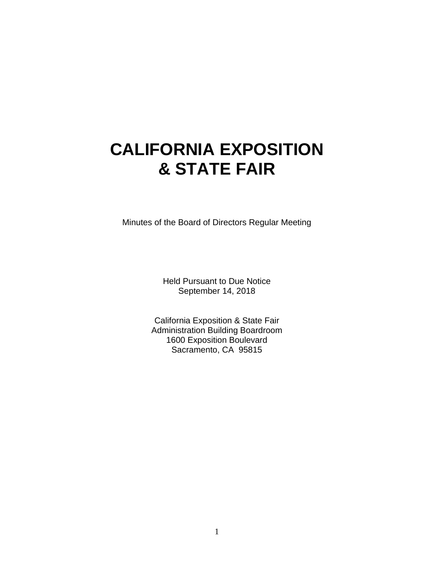# **CALIFORNIA EXPOSITION & STATE FAIR**

Minutes of the Board of Directors Regular Meeting

Held Pursuant to Due Notice September 14, 2018

California Exposition & State Fair Administration Building Boardroom 1600 Exposition Boulevard Sacramento, CA 95815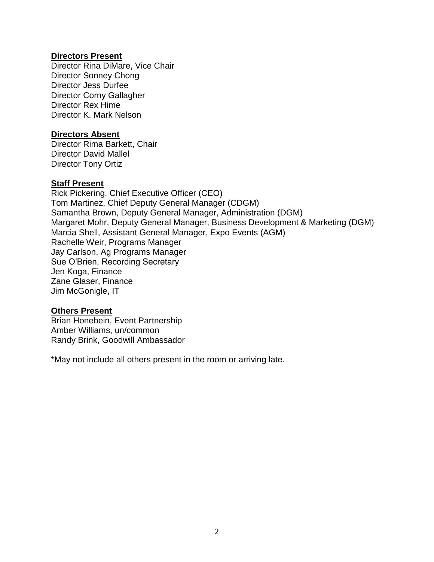#### **Directors Present**

Director Rina DiMare, Vice Chair Director Sonney Chong Director Jess Durfee Director Corny Gallagher Director Rex Hime Director K. Mark Nelson

#### **Directors Absent**

Director Rima Barkett, Chair Director David Mallel Director Tony Ortiz

#### **Staff Present**

Rick Pickering, Chief Executive Officer (CEO) Tom Martinez, Chief Deputy General Manager (CDGM) Samantha Brown, Deputy General Manager, Administration (DGM) Margaret Mohr, Deputy General Manager, Business Development & Marketing (DGM) Marcia Shell, Assistant General Manager, Expo Events (AGM) Rachelle Weir, Programs Manager Jay Carlson, Ag Programs Manager Sue O'Brien, Recording Secretary Jen Koga, Finance Zane Glaser, Finance Jim McGonigle, IT

#### **Others Present**

Brian Honebein, Event Partnership Amber Williams, un/common Randy Brink, Goodwill Ambassador

\*May not include all others present in the room or arriving late.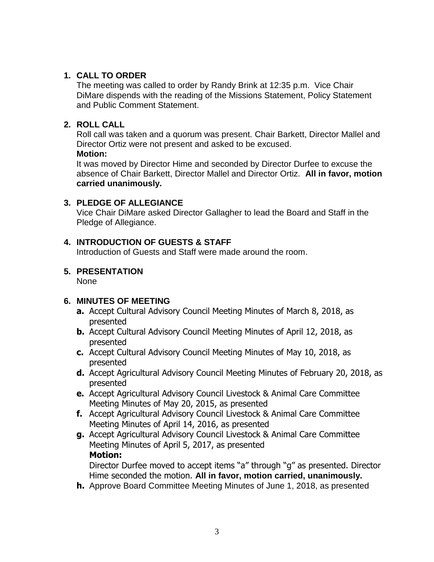## **1. CALL TO ORDER**

The meeting was called to order by Randy Brink at 12:35 p.m. Vice Chair DiMare dispends with the reading of the Missions Statement, Policy Statement and Public Comment Statement.

## **2. ROLL CALL**

Roll call was taken and a quorum was present. Chair Barkett, Director Mallel and Director Ortiz were not present and asked to be excused. **Motion:**

It was moved by Director Hime and seconded by Director Durfee to excuse the absence of Chair Barkett, Director Mallel and Director Ortiz. **All in favor, motion carried unanimously.**

## **3. PLEDGE OF ALLEGIANCE**

Vice Chair DiMare asked Director Gallagher to lead the Board and Staff in the Pledge of Allegiance.

## **4. INTRODUCTION OF GUESTS & STAFF**

Introduction of Guests and Staff were made around the room.

# **5. PRESENTATION**

None

# **6. MINUTES OF MEETING**

- **a.** Accept Cultural Advisory Council Meeting Minutes of March 8, 2018, as presented
- **b.** Accept Cultural Advisory Council Meeting Minutes of April 12, 2018, as presented
- **c.** Accept Cultural Advisory Council Meeting Minutes of May 10, 2018, as presented
- **d.** Accept Agricultural Advisory Council Meeting Minutes of February 20, 2018, as presented
- **e.** Accept Agricultural Advisory Council Livestock & Animal Care Committee Meeting Minutes of May 20, 2015, as presented
- **f.** Accept Agricultural Advisory Council Livestock & Animal Care Committee Meeting Minutes of April 14, 2016, as presented
- **g.** Accept Agricultural Advisory Council Livestock & Animal Care Committee Meeting Minutes of April 5, 2017, as presented **Motion:**

Director Durfee moved to accept items "a" through "g" as presented. Director Hime seconded the motion. **All in favor, motion carried, unanimously.**

**h.** Approve Board Committee Meeting Minutes of June 1, 2018, as presented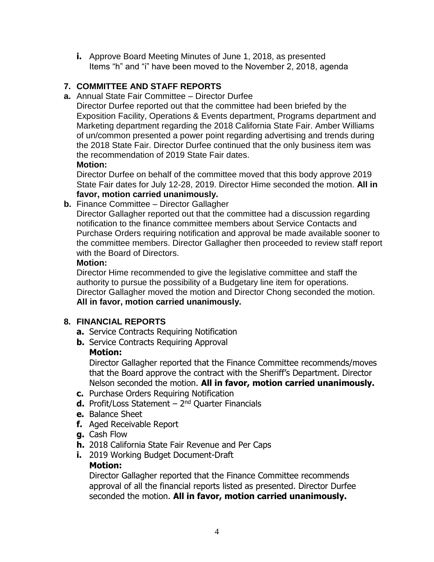**i.** Approve Board Meeting Minutes of June 1, 2018, as presented Items "h" and "i" have been moved to the November 2, 2018, agenda

## **7. COMMITTEE AND STAFF REPORTS**

**a.** Annual State Fair Committee – Director Durfee

Director Durfee reported out that the committee had been briefed by the Exposition Facility, Operations & Events department, Programs department and Marketing department regarding the 2018 California State Fair. Amber Williams of un/common presented a power point regarding advertising and trends during the 2018 State Fair. Director Durfee continued that the only business item was the recommendation of 2019 State Fair dates.

#### **Motion:**

Director Durfee on behalf of the committee moved that this body approve 2019 State Fair dates for July 12-28, 2019. Director Hime seconded the motion. **All in favor, motion carried unanimously.**

**b.** Finance Committee – Director Gallagher

Director Gallagher reported out that the committee had a discussion regarding notification to the finance committee members about Service Contacts and Purchase Orders requiring notification and approval be made available sooner to the committee members. Director Gallagher then proceeded to review staff report with the Board of Directors.

#### **Motion:**

Director Hime recommended to give the legislative committee and staff the authority to pursue the possibility of a Budgetary line item for operations. Director Gallagher moved the motion and Director Chong seconded the motion. **All in favor, motion carried unanimously.**

## **8. FINANCIAL REPORTS**

- **a.** Service Contracts Requiring Notification
- **b.** Service Contracts Requiring Approval

## **Motion:**

Director Gallagher reported that the Finance Committee recommends/moves that the Board approve the contract with the Sheriff's Department. Director Nelson seconded the motion. **All in favor, motion carried unanimously.**

- **c.** Purchase Orders Requiring Notification
- **d.** Profit/Loss Statement 2<sup>nd</sup> Quarter Financials
- **e.** Balance Sheet
- **f.** Aged Receivable Report
- **g.** Cash Flow
- **h.** 2018 California State Fair Revenue and Per Caps
- **i.** 2019 Working Budget Document-Draft

## **Motion:**

Director Gallagher reported that the Finance Committee recommends approval of all the financial reports listed as presented. Director Durfee seconded the motion. **All in favor, motion carried unanimously.**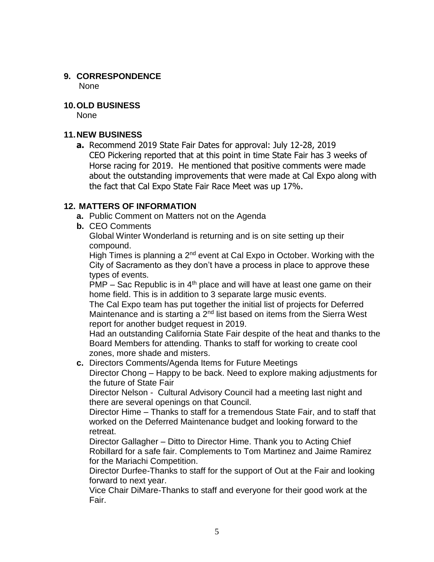#### **9. CORRESPONDENCE** None

#### **10.OLD BUSINESS**

None

#### **11.NEW BUSINESS**

**a.** Recommend 2019 State Fair Dates for approval: July 12-28, 2019 CEO Pickering reported that at this point in time State Fair has 3 weeks of Horse racing for 2019. He mentioned that positive comments were made about the outstanding improvements that were made at Cal Expo along with the fact that Cal Expo State Fair Race Meet was up 17%.

#### **12. MATTERS OF INFORMATION**

- **a.** Public Comment on Matters not on the Agenda
- **b.** CEO Comments

Global Winter Wonderland is returning and is on site setting up their compound.

High Times is planning a  $2<sup>nd</sup>$  event at Cal Expo in October. Working with the City of Sacramento as they don't have a process in place to approve these types of events.

 $\overline{PMP}$  – Sac Republic is in 4<sup>th</sup> place and will have at least one game on their home field. This is in addition to 3 separate large music events.

The Cal Expo team has put together the initial list of projects for Deferred Maintenance and is starting a  $2<sup>nd</sup>$  list based on items from the Sierra West report for another budget request in 2019.

Had an outstanding California State Fair despite of the heat and thanks to the Board Members for attending. Thanks to staff for working to create cool zones, more shade and misters.

**c.** Directors Comments/Agenda Items for Future Meetings

Director Chong – Happy to be back. Need to explore making adjustments for the future of State Fair

Director Nelson - Cultural Advisory Council had a meeting last night and there are several openings on that Council.

Director Hime – Thanks to staff for a tremendous State Fair, and to staff that worked on the Deferred Maintenance budget and looking forward to the retreat.

Director Gallagher – Ditto to Director Hime. Thank you to Acting Chief Robillard for a safe fair. Complements to Tom Martinez and Jaime Ramirez for the Mariachi Competition.

Director Durfee-Thanks to staff for the support of Out at the Fair and looking forward to next year.

Vice Chair DiMare-Thanks to staff and everyone for their good work at the Fair.